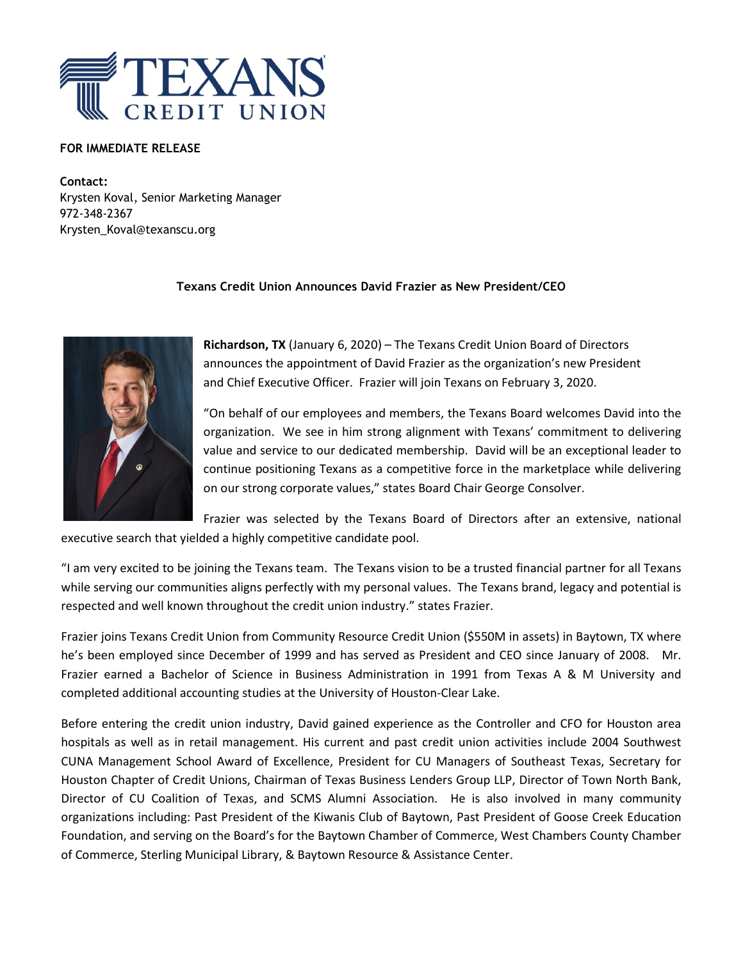

## **FOR IMMEDIATE RELEASE**

**Contact:** Krysten Koval, Senior Marketing Manager 972-348-2367 Krysten\_Koval@texanscu.org

## **Texans Credit Union Announces David Frazier as New President/CEO**



**Richardson, TX** (January 6, 2020) – The Texans Credit Union Board of Directors announces the appointment of David Frazier as the organization's new President and Chief Executive Officer. Frazier will join Texans on February 3, 2020.

"On behalf of our employees and members, the Texans Board welcomes David into the organization. We see in him strong alignment with Texans' commitment to delivering value and service to our dedicated membership. David will be an exceptional leader to continue positioning Texans as a competitive force in the marketplace while delivering on our strong corporate values," states Board Chair George Consolver.

Frazier was selected by the Texans Board of Directors after an extensive, national executive search that yielded a highly competitive candidate pool.

"I am very excited to be joining the Texans team. The Texans vision to be a trusted financial partner for all Texans while serving our communities aligns perfectly with my personal values. The Texans brand, legacy and potential is respected and well known throughout the credit union industry." states Frazier.

Frazier joins Texans Credit Union from Community Resource Credit Union (\$550M in assets) in Baytown, TX where he's been employed since December of 1999 and has served as President and CEO since January of 2008. Mr. Frazier earned a Bachelor of Science in Business Administration in 1991 from Texas A & M University and completed additional accounting studies at the University of Houston-Clear Lake.

Before entering the credit union industry, David gained experience as the Controller and CFO for Houston area hospitals as well as in retail management. His current and past credit union activities include 2004 Southwest CUNA Management School Award of Excellence, President for CU Managers of Southeast Texas, Secretary for Houston Chapter of Credit Unions, Chairman of Texas Business Lenders Group LLP, Director of Town North Bank, Director of CU Coalition of Texas, and SCMS Alumni Association. He is also involved in many community organizations including: Past President of the Kiwanis Club of Baytown, Past President of Goose Creek Education Foundation, and serving on the Board's for the Baytown Chamber of Commerce, West Chambers County Chamber of Commerce, Sterling Municipal Library, & Baytown Resource & Assistance Center.